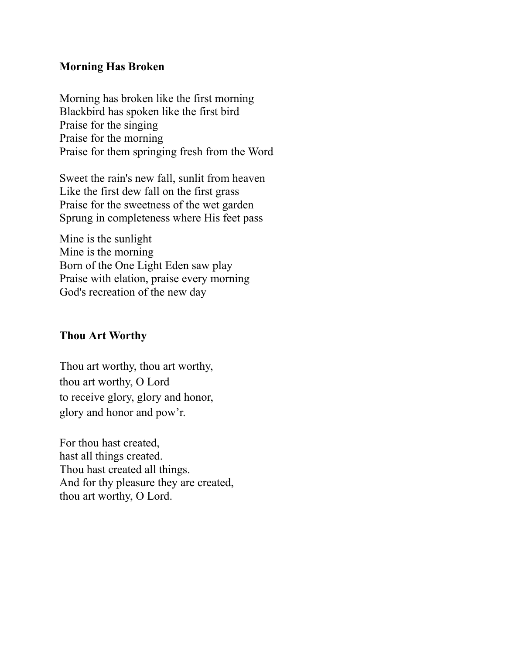## **Morning Has Broken**

Morning has broken like the first morning Blackbird has spoken like the first bird Praise for the singing Praise for the morning Praise for them springing fresh from the Word

Sweet the rain's new fall, sunlit from heaven Like the first dew fall on the first grass Praise for the sweetness of the wet garden Sprung in completeness where His feet pass

Mine is the sunlight Mine is the morning Born of the One Light Eden saw play Praise with elation, praise every morning God's recreation of the new day

## **Thou Art Worthy**

Thou art worthy, thou art worthy, thou art worthy, O Lord to receive glory, glory and honor, glory and honor and pow'r.

For thou hast created, hast all things created. Thou hast created all things. And for thy pleasure they are created, thou art worthy, O Lord.